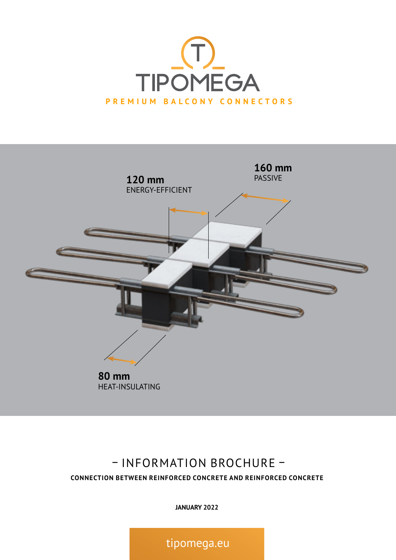



## – INFORMATION BROCHURE – **CONNECTION BETWEEN REINFORCED CONCRETE AND REINFORCED CONCRETE**

**JANUARY 2022**

tipomega.eu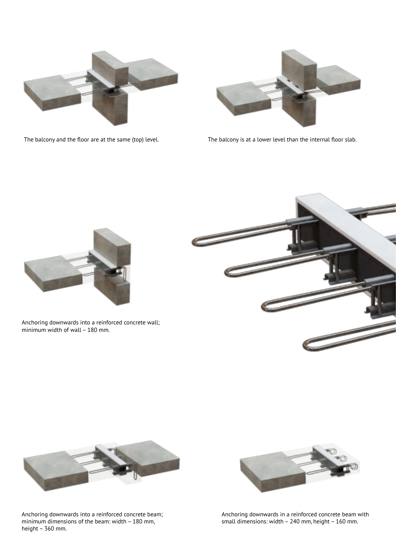



The balcony and the floor are at the same (top) level.

The balcony is at a lower level than the internal floor slab.



Anchoring downwards into a reinforced concrete wall; minimum width of wall – 180 mm.





Anchoring downwards into a reinforced concrete beam; minimum dimensions of the beam: width – 180 mm, height – 360 mm.



Anchoring downwards in a reinforced concrete beam with small dimensions: width – 240 mm, height – 160 mm.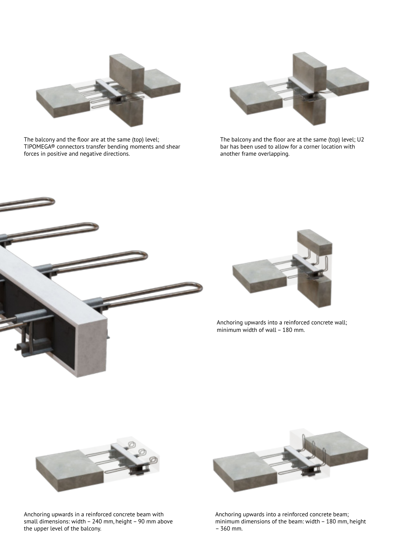

The balcony and the floor are at the same (top) level; TIPOMEGA® connectors transfer bending moments and shear forces in positive and negative directions.



The balcony and the floor are at the same (top) level; U2 bar has been used to allow for a corner location with another frame overlapping.





Anchoring upwards into a reinforced concrete wall; minimum width of wall – 180 mm.



Anchoring upwards in a reinforced concrete beam with small dimensions: width – 240 mm, height – 90 mm above the upper level of the balcony.



Anchoring upwards into a reinforced concrete beam; minimum dimensions of the beam: width – 180 mm, height – 360 mm.